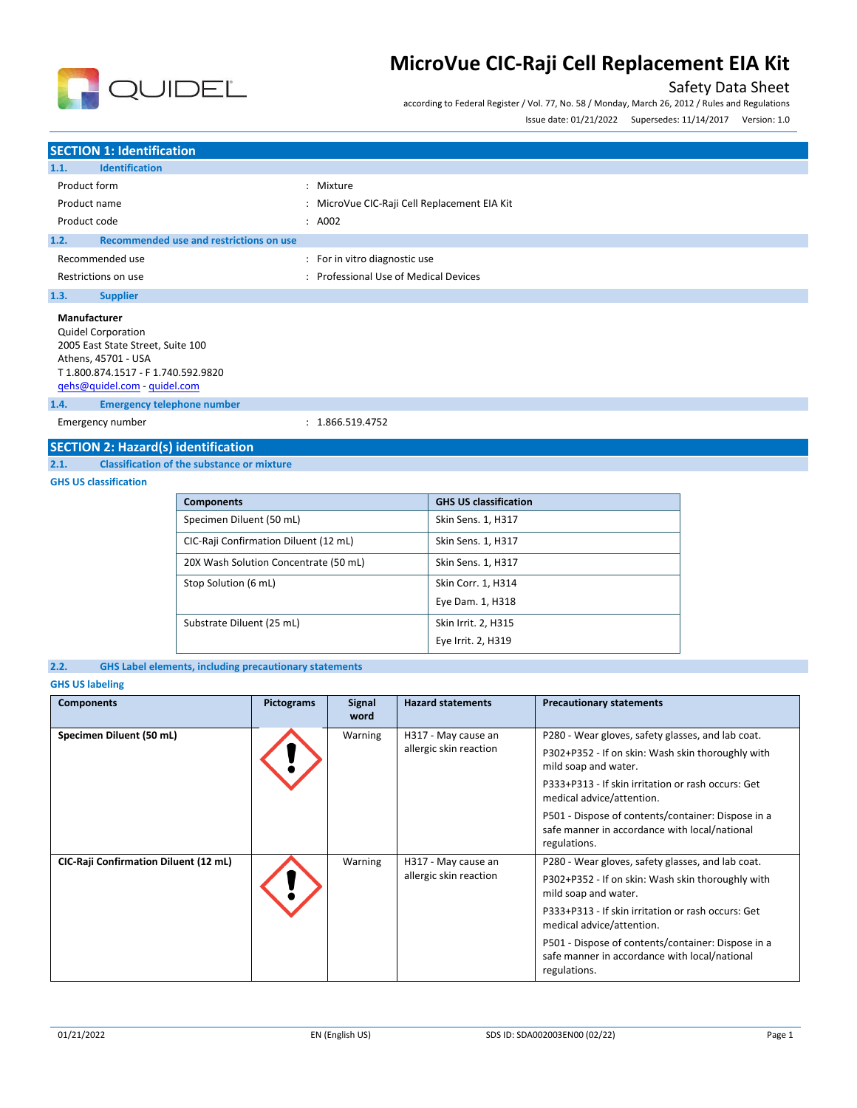

# Safety Data Sheet

according to Federal Register / Vol. 77, No. 58 / Monday, March 26, 2012 / Rules and Regulations Issue date: 01/21/2022 Supersedes: 11/14/2017 Version: 1.0

## **SECTION 1: Identification 1.1. Identification** Product form  $\qquad \qquad : \qquad$  Mixture Product name **in the set of the CIC-Raji Cell Replacement EIA Kit** Collection CIC-Raji Cell Replacement EIA Kit Product code : A002 **1.2. Recommended use and restrictions on use** Recommended use  $\qquad \qquad$ : For in vitro diagnostic use Restrictions on use **Secure 2018** Channel 2013 : Professional Use of Medical Devices **1.3. Supplier Manufacturer** Quidel Corporation 2005 East State Street, Suite 100 Athens, 45701 - USA T 1.800.874.1517 - F 1.740.592.9820 [qehs@quidel.com](mailto:qehs@quidel.com) - [quidel.com](http://quidel.com/)

**1.4. Emergency telephone number**

Emergency number : 1.866.519.4752

## **SECTION 2: Hazard(s) identification**

**2.1. Classification of the substance or mixture**

## **GHS US classification**

| <b>Components</b>                     | <b>GHS US classification</b> |
|---------------------------------------|------------------------------|
| Specimen Diluent (50 mL)              | Skin Sens. 1, H317           |
| CIC-Raji Confirmation Diluent (12 mL) | Skin Sens. 1, H317           |
| 20X Wash Solution Concentrate (50 mL) | Skin Sens. 1, H317           |
| Stop Solution (6 mL)                  | Skin Corr. 1, H314           |
|                                       | Eye Dam. 1, H318             |
| Substrate Diluent (25 mL)             | Skin Irrit. 2, H315          |
|                                       | Eye Irrit. 2, H319           |



### **GHS US labeling**

| <b>Components</b>                     | <b>Pictograms</b> | <b>Signal</b><br>word                                                                                               | <b>Hazard statements</b>                                                  | <b>Precautionary statements</b>                                                                                     |
|---------------------------------------|-------------------|---------------------------------------------------------------------------------------------------------------------|---------------------------------------------------------------------------|---------------------------------------------------------------------------------------------------------------------|
| Specimen Diluent (50 mL)              |                   | Warning                                                                                                             | H317 - May cause an                                                       | P280 - Wear gloves, safety glasses, and lab coat.                                                                   |
|                                       |                   |                                                                                                                     | allergic skin reaction                                                    | P302+P352 - If on skin: Wash skin thoroughly with<br>mild soap and water.                                           |
|                                       |                   |                                                                                                                     |                                                                           | P333+P313 - If skin irritation or rash occurs: Get<br>medical advice/attention.                                     |
|                                       |                   | P501 - Dispose of contents/container: Dispose in a<br>safe manner in accordance with local/national<br>regulations. |                                                                           |                                                                                                                     |
| CIC-Raji Confirmation Diluent (12 mL) |                   | Warning                                                                                                             | H317 - May cause an                                                       | P280 - Wear gloves, safety glasses, and lab coat.                                                                   |
|                                       |                   | allergic skin reaction                                                                                              | P302+P352 - If on skin: Wash skin thoroughly with<br>mild soap and water. |                                                                                                                     |
|                                       |                   |                                                                                                                     |                                                                           | P333+P313 - If skin irritation or rash occurs: Get<br>medical advice/attention.                                     |
|                                       |                   |                                                                                                                     |                                                                           | P501 - Dispose of contents/container: Dispose in a<br>safe manner in accordance with local/national<br>regulations. |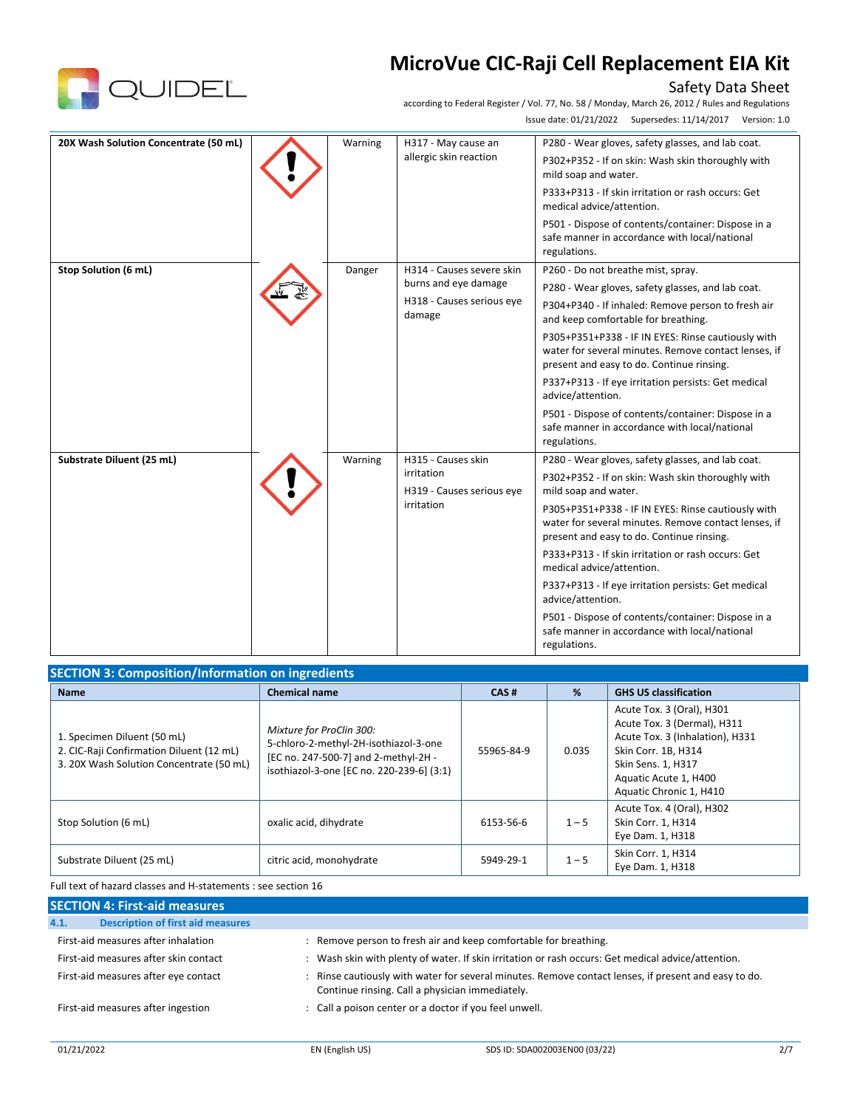

# Safety Data Sheet

according to Federal Register / Vol. 77, No. 58 / Monday, March 26, 2012 / Rules and Regulations Issue date: 01/21/2022 Supersedes: 11/14/2017 Version: 1.0

| 20X Wash Solution Concentrate (50 mL) |                        | Warning                                                                   | H317 - May cause an                     | P280 - Wear gloves, safety glasses, and lab coat.                                                                                                       |
|---------------------------------------|------------------------|---------------------------------------------------------------------------|-----------------------------------------|---------------------------------------------------------------------------------------------------------------------------------------------------------|
|                                       | allergic skin reaction | P302+P352 - If on skin: Wash skin thoroughly with<br>mild soap and water. |                                         |                                                                                                                                                         |
|                                       |                        |                                                                           |                                         | P333+P313 - If skin irritation or rash occurs: Get<br>medical advice/attention.                                                                         |
|                                       |                        |                                                                           |                                         | P501 - Dispose of contents/container: Dispose in a<br>safe manner in accordance with local/national<br>regulations.                                     |
| Stop Solution (6 mL)                  |                        | Danger                                                                    | H314 - Causes severe skin               | P260 - Do not breathe mist, spray.                                                                                                                      |
|                                       |                        |                                                                           | burns and eye damage                    | P280 - Wear gloves, safety glasses, and lab coat.                                                                                                       |
|                                       |                        |                                                                           | H318 - Causes serious eye<br>damage     | P304+P340 - If inhaled: Remove person to fresh air<br>and keep comfortable for breathing.                                                               |
|                                       |                        |                                                                           |                                         | P305+P351+P338 - IF IN EYES: Rinse cautiously with<br>water for several minutes. Remove contact lenses, if<br>present and easy to do. Continue rinsing. |
|                                       |                        |                                                                           |                                         | P337+P313 - If eye irritation persists: Get medical<br>advice/attention.                                                                                |
|                                       |                        |                                                                           |                                         | P501 - Dispose of contents/container: Dispose in a<br>safe manner in accordance with local/national<br>regulations.                                     |
| Substrate Diluent (25 mL)             |                        | Warning                                                                   | H315 - Causes skin                      | P280 - Wear gloves, safety glasses, and lab coat.                                                                                                       |
|                                       |                        |                                                                           | irritation<br>H319 - Causes serious eye | P302+P352 - If on skin: Wash skin thoroughly with<br>mild soap and water.                                                                               |
|                                       |                        |                                                                           | irritation                              | P305+P351+P338 - IF IN EYES: Rinse cautiously with<br>water for several minutes. Remove contact lenses, if<br>present and easy to do. Continue rinsing. |
|                                       |                        |                                                                           |                                         | P333+P313 - If skin irritation or rash occurs: Get<br>medical advice/attention.                                                                         |
|                                       |                        |                                                                           |                                         | P337+P313 - If eye irritation persists: Get medical<br>advice/attention.                                                                                |
|                                       |                        |                                                                           |                                         | P501 - Dispose of contents/container: Dispose in a<br>safe manner in accordance with local/national<br>regulations.                                     |

| <b>SECTION 3: Composition/Information on ingredients</b>                                                            |                                                                                                                                                        |            |         |                                                                                                                                                                                              |  |  |
|---------------------------------------------------------------------------------------------------------------------|--------------------------------------------------------------------------------------------------------------------------------------------------------|------------|---------|----------------------------------------------------------------------------------------------------------------------------------------------------------------------------------------------|--|--|
| <b>Name</b>                                                                                                         | <b>Chemical name</b>                                                                                                                                   | CAS#       | %       | <b>GHS US classification</b>                                                                                                                                                                 |  |  |
| 1. Specimen Diluent (50 mL)<br>2. CIC-Raji Confirmation Diluent (12 mL)<br>3. 20X Wash Solution Concentrate (50 mL) | Mixture for ProClin 300:<br>5-chloro-2-methyl-2H-isothiazol-3-one<br>[EC no. 247-500-7] and 2-methyl-2H -<br>isothiazol-3-one [EC no. 220-239-6] (3:1) | 55965-84-9 | 0.035   | Acute Tox. 3 (Oral), H301<br>Acute Tox. 3 (Dermal), H311<br>Acute Tox. 3 (Inhalation), H331<br>Skin Corr. 1B, H314<br>Skin Sens. 1, H317<br>Aquatic Acute 1, H400<br>Aquatic Chronic 1, H410 |  |  |
| Stop Solution (6 mL)                                                                                                | oxalic acid, dihydrate                                                                                                                                 | 6153-56-6  | $1 - 5$ | Acute Tox. 4 (Oral), H302<br>Skin Corr. 1, H314<br>Eye Dam. 1, H318                                                                                                                          |  |  |
| Substrate Diluent (25 mL)                                                                                           | citric acid, monohydrate                                                                                                                               | 5949-29-1  | $1 - 5$ | Skin Corr. 1, H314<br>Eye Dam. 1, H318                                                                                                                                                       |  |  |

Full text of hazard classes and H-statements : see section 16

| <b>SECTION 4: First-aid measures</b>             |                                                                                                                                                       |
|--------------------------------------------------|-------------------------------------------------------------------------------------------------------------------------------------------------------|
| <b>Description of first aid measures</b><br>4.1. |                                                                                                                                                       |
| First-aid measures after inhalation              | : Remove person to fresh air and keep comfortable for breathing.                                                                                      |
| First-aid measures after skin contact            | : Wash skin with plenty of water. If skin irritation or rash occurs: Get medical advice/attention.                                                    |
| First-aid measures after eye contact             | Rinse cautiously with water for several minutes. Remove contact lenses, if present and easy to do.<br>Continue rinsing. Call a physician immediately. |
| First-aid measures after ingestion               | : Call a poison center or a doctor if you feel unwell.                                                                                                |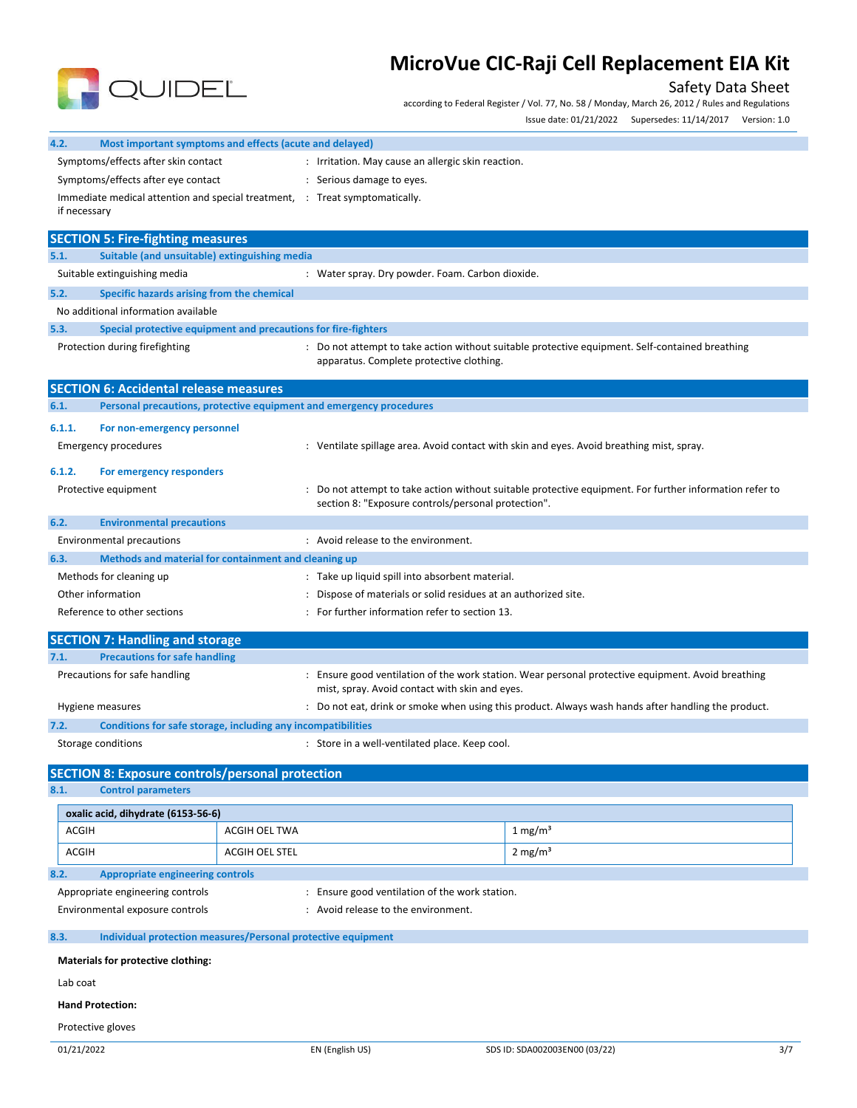

# Safety Data Sheet

according to Federal Register / Vol. 77, No. 58 / Monday, March 26, 2012 / Rules and Regulations Issue date: 01/21/2022 Supersedes: 11/14/2017 Version: 1.0

| 4.2.<br>Most important symptoms and effects (acute and delayed)                              |                                                 |                                                                                                                                                              |     |  |
|----------------------------------------------------------------------------------------------|-------------------------------------------------|--------------------------------------------------------------------------------------------------------------------------------------------------------------|-----|--|
| Symptoms/effects after skin contact<br>: Irritation. May cause an allergic skin reaction.    |                                                 |                                                                                                                                                              |     |  |
| Symptoms/effects after eye contact<br>: Serious damage to eyes.                              |                                                 |                                                                                                                                                              |     |  |
| Immediate medical attention and special treatment, : Treat symptomatically.                  |                                                 |                                                                                                                                                              |     |  |
| if necessary                                                                                 |                                                 |                                                                                                                                                              |     |  |
| <b>SECTION 5: Fire-fighting measures</b>                                                     |                                                 |                                                                                                                                                              |     |  |
| 5.1.<br>Suitable (and unsuitable) extinguishing media                                        |                                                 |                                                                                                                                                              |     |  |
| Suitable extinguishing media                                                                 |                                                 | : Water spray. Dry powder. Foam. Carbon dioxide.                                                                                                             |     |  |
| 5.2.<br>Specific hazards arising from the chemical                                           |                                                 |                                                                                                                                                              |     |  |
| No additional information available                                                          |                                                 |                                                                                                                                                              |     |  |
| 5.3.<br>Special protective equipment and precautions for fire-fighters                       |                                                 |                                                                                                                                                              |     |  |
| Protection during firefighting                                                               | apparatus. Complete protective clothing.        | : Do not attempt to take action without suitable protective equipment. Self-contained breathing                                                              |     |  |
| <b>SECTION 6: Accidental release measures</b>                                                |                                                 |                                                                                                                                                              |     |  |
| 6.1.<br>Personal precautions, protective equipment and emergency procedures                  |                                                 |                                                                                                                                                              |     |  |
| 6.1.1.<br>For non-emergency personnel                                                        |                                                 |                                                                                                                                                              |     |  |
| <b>Emergency procedures</b>                                                                  |                                                 | : Ventilate spillage area. Avoid contact with skin and eyes. Avoid breathing mist, spray.                                                                    |     |  |
|                                                                                              |                                                 |                                                                                                                                                              |     |  |
| 6.1.2.<br>For emergency responders                                                           |                                                 |                                                                                                                                                              |     |  |
| Protective equipment                                                                         |                                                 | Do not attempt to take action without suitable protective equipment. For further information refer to<br>section 8: "Exposure controls/personal protection". |     |  |
| 6.2.<br><b>Environmental precautions</b>                                                     |                                                 |                                                                                                                                                              |     |  |
| <b>Environmental precautions</b>                                                             | : Avoid release to the environment.             |                                                                                                                                                              |     |  |
| Methods and material for containment and cleaning up<br>6.3.                                 |                                                 |                                                                                                                                                              |     |  |
| Methods for cleaning up                                                                      | : Take up liquid spill into absorbent material. |                                                                                                                                                              |     |  |
| Other information                                                                            |                                                 | Dispose of materials or solid residues at an authorized site.                                                                                                |     |  |
| For further information refer to section 13.<br>Reference to other sections                  |                                                 |                                                                                                                                                              |     |  |
| <b>SECTION 7: Handling and storage</b>                                                       |                                                 |                                                                                                                                                              |     |  |
| 7.1.<br><b>Precautions for safe handling</b>                                                 |                                                 |                                                                                                                                                              |     |  |
| Precautions for safe handling                                                                |                                                 | Ensure good ventilation of the work station. Wear personal protective equipment. Avoid breathing<br>mist, spray. Avoid contact with skin and eyes.           |     |  |
| Hygiene measures                                                                             |                                                 | : Do not eat, drink or smoke when using this product. Always wash hands after handling the product.                                                          |     |  |
| 7.2.<br>Conditions for safe storage, including any incompatibilities                         |                                                 |                                                                                                                                                              |     |  |
| Storage conditions                                                                           | : Store in a well-ventilated place. Keep cool.  |                                                                                                                                                              |     |  |
|                                                                                              |                                                 |                                                                                                                                                              |     |  |
| <b>SECTION 8: Exposure controls/personal protection</b><br>8.1.<br><b>Control parameters</b> |                                                 |                                                                                                                                                              |     |  |
|                                                                                              |                                                 |                                                                                                                                                              |     |  |
| oxalic acid, dihydrate (6153-56-6)                                                           |                                                 |                                                                                                                                                              |     |  |
| <b>ACGIH</b><br>ACGIH OEL TWA                                                                |                                                 | $1 \text{ mg/m}^3$                                                                                                                                           |     |  |
| <b>ACGIH</b><br>ACGIH OEL STEL                                                               |                                                 | $2 \text{ mg/m}^3$                                                                                                                                           |     |  |
| <b>Appropriate engineering controls</b><br>8.2.                                              |                                                 |                                                                                                                                                              |     |  |
| Appropriate engineering controls                                                             | : Ensure good ventilation of the work station.  |                                                                                                                                                              |     |  |
| Environmental exposure controls                                                              | Avoid release to the environment.               |                                                                                                                                                              |     |  |
| Individual protection measures/Personal protective equipment<br>8.3.                         |                                                 |                                                                                                                                                              |     |  |
| Materials for protective clothing:                                                           |                                                 |                                                                                                                                                              |     |  |
| Lab coat                                                                                     |                                                 |                                                                                                                                                              |     |  |
| <b>Hand Protection:</b>                                                                      |                                                 |                                                                                                                                                              |     |  |
| Protective gloves                                                                            |                                                 |                                                                                                                                                              |     |  |
| 01/21/2022                                                                                   | EN (English US)                                 | SDS ID: SDA002003EN00 (03/22)                                                                                                                                | 3/7 |  |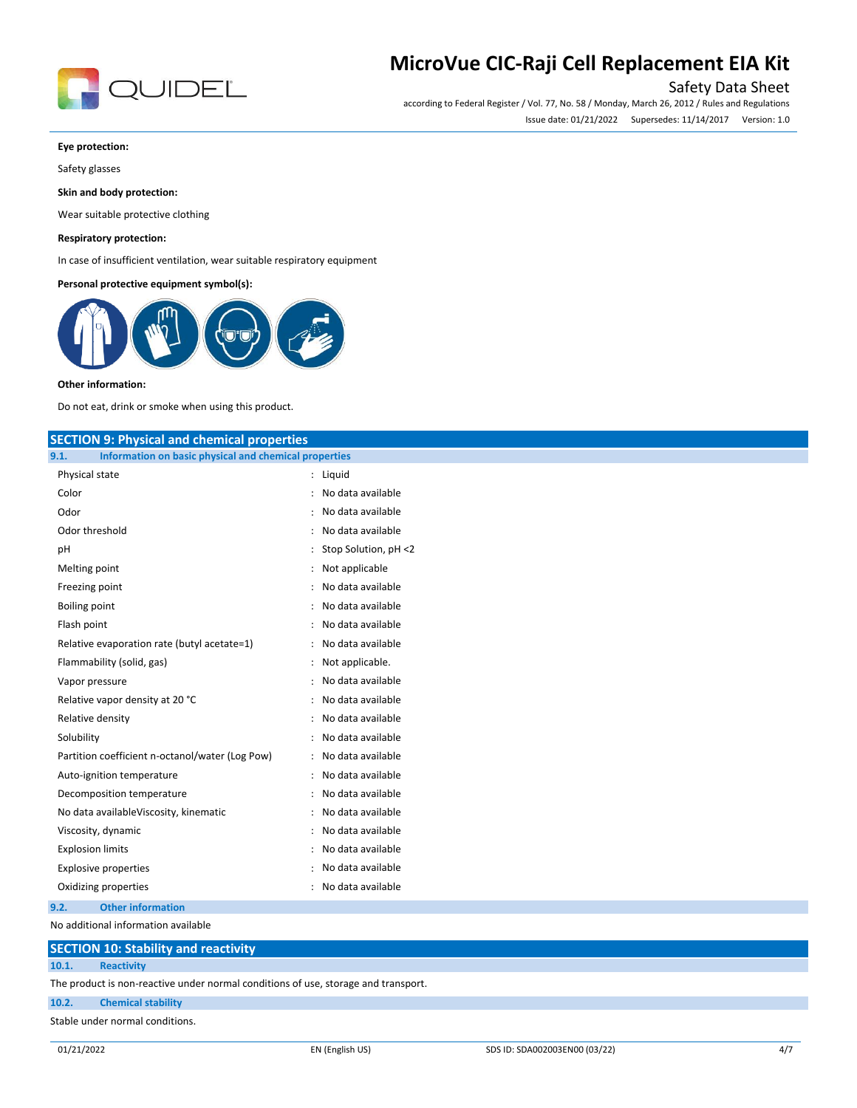

# Safety Data Sheet

according to Federal Register / Vol. 77, No. 58 / Monday, March 26, 2012 / Rules and Regulations Issue date: 01/21/2022 Supersedes: 11/14/2017 Version: 1.0

#### **Eye protection:**

Safety glasses

### **Skin and body protection:**

Wear suitable protective clothing

### **Respiratory protection:**

In case of insufficient ventilation, wear suitable respiratory equipment

### **Personal protective equipment symbol(s):**



#### **Other information:**

Do not eat, drink or smoke when using this product.

## **SECTION 9: Physical and chemical properties**

| Information on basic physical and chemical properties<br>9.1. |                                           |
|---------------------------------------------------------------|-------------------------------------------|
| Physical state                                                | Liquid<br>$\ddot{\phantom{0}}$            |
| Color                                                         | No data available                         |
| Odor                                                          | No data available                         |
| Odor threshold                                                | No data available                         |
| рH                                                            | Stop Solution, pH <2                      |
| Melting point                                                 | Not applicable                            |
| Freezing point                                                | No data available                         |
| Boiling point                                                 | No data available                         |
| Flash point                                                   | No data available                         |
| Relative evaporation rate (butyl acetate=1)                   | No data available                         |
| Flammability (solid, gas)                                     | Not applicable.                           |
| Vapor pressure                                                | No data available                         |
| Relative vapor density at 20 °C                               | No data available<br>$\ddot{\cdot}$       |
| Relative density                                              | No data available<br>$\ddot{\phantom{a}}$ |
| Solubility                                                    | No data available<br>$\ddot{\phantom{a}}$ |
| Partition coefficient n-octanol/water (Log Pow)               | No data available<br>$\ddot{\cdot}$       |
| Auto-ignition temperature                                     | No data available<br>÷                    |
| Decomposition temperature                                     | No data available<br>$\ddot{\phantom{a}}$ |
| No data availableViscosity, kinematic                         | No data available<br>$\ddot{\phantom{a}}$ |
| Viscosity, dynamic                                            | No data available<br>÷                    |
| <b>Explosion limits</b>                                       | No data available                         |
| <b>Explosive properties</b>                                   | No data available<br>$\ddot{\phantom{a}}$ |
| Oxidizing properties                                          | No data available                         |
| <b>Other information</b><br>9.2.                              |                                           |

No additional information available

## **SECTION 10: Stability and reactivity**

**10.1. Reactivity**

The product is non-reactive under normal conditions of use, storage and transport.

### **10.2. Chemical stability**

Stable under normal conditions.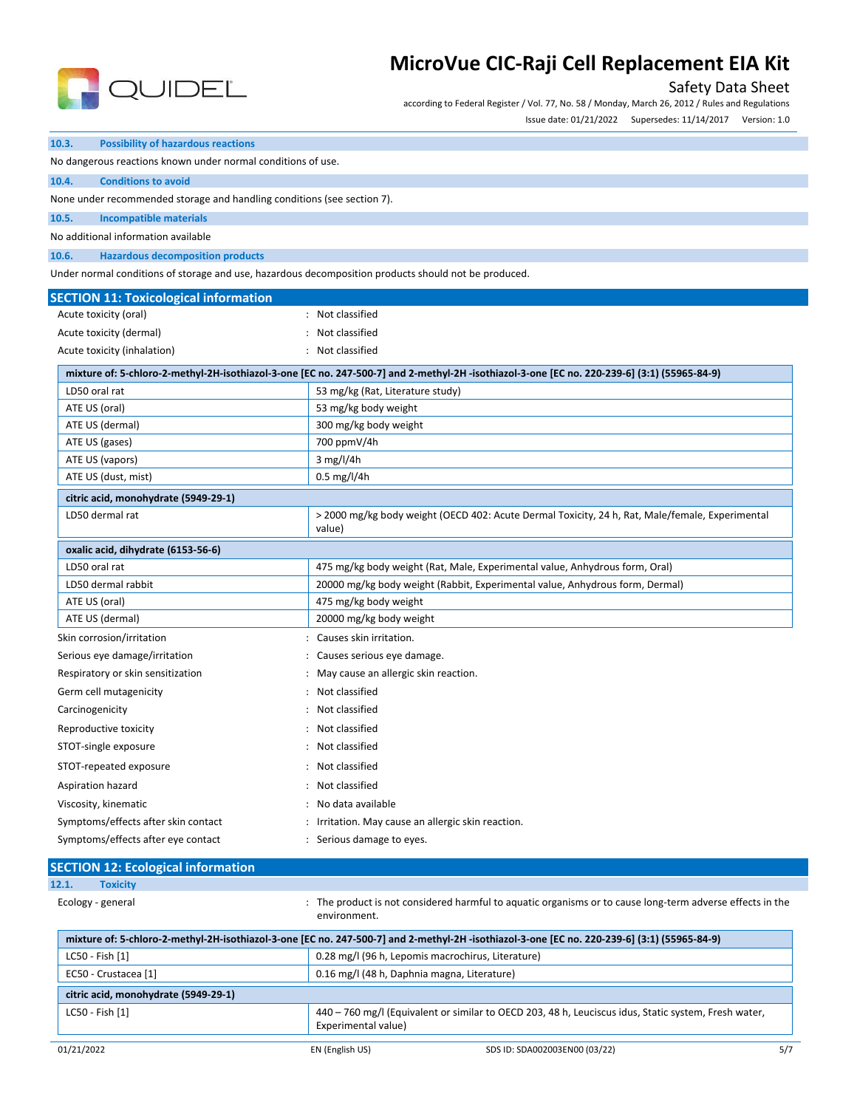

## Safety Data Sheet

according to Federal Register / Vol. 77, No. 58 / Monday, March 26, 2012 / Rules and Regulations

Issue date: 01/21/2022 Supersedes: 11/14/2017 Version: 1.0

| 10.3.                                                                   | <b>Possibility of hazardous reactions</b>    |                                                                                                                                              |  |  |
|-------------------------------------------------------------------------|----------------------------------------------|----------------------------------------------------------------------------------------------------------------------------------------------|--|--|
| No dangerous reactions known under normal conditions of use.            |                                              |                                                                                                                                              |  |  |
| 10.4.                                                                   | <b>Conditions to avoid</b>                   |                                                                                                                                              |  |  |
| None under recommended storage and handling conditions (see section 7). |                                              |                                                                                                                                              |  |  |
| 10.5.                                                                   | <b>Incompatible materials</b>                |                                                                                                                                              |  |  |
|                                                                         | No additional information available          |                                                                                                                                              |  |  |
| 10.6.                                                                   | <b>Hazardous decomposition products</b>      |                                                                                                                                              |  |  |
|                                                                         |                                              | Under normal conditions of storage and use, hazardous decomposition products should not be produced.                                         |  |  |
|                                                                         | <b>SECTION 11: Toxicological information</b> |                                                                                                                                              |  |  |
|                                                                         | Acute toxicity (oral)                        | : Not classified                                                                                                                             |  |  |
|                                                                         | Acute toxicity (dermal)                      | Not classified                                                                                                                               |  |  |
|                                                                         | Acute toxicity (inhalation)                  | Not classified                                                                                                                               |  |  |
|                                                                         |                                              | mixture of: 5-chloro-2-methyl-2H-isothiazol-3-one [EC no. 247-500-7] and 2-methyl-2H -isothiazol-3-one [EC no. 220-239-6] (3:1) (55965-84-9) |  |  |
| LD50 oral rat                                                           |                                              | 53 mg/kg (Rat, Literature study)                                                                                                             |  |  |
| ATE US (oral)                                                           |                                              | 53 mg/kg body weight                                                                                                                         |  |  |
|                                                                         | ATE US (dermal)                              | 300 mg/kg body weight                                                                                                                        |  |  |
|                                                                         | ATE US (gases)                               | 700 ppmV/4h                                                                                                                                  |  |  |
|                                                                         | ATE US (vapors)                              | 3 mg/l/4h                                                                                                                                    |  |  |
|                                                                         | ATE US (dust, mist)                          | $0.5$ mg/l/4h                                                                                                                                |  |  |
|                                                                         | citric acid, monohydrate (5949-29-1)         |                                                                                                                                              |  |  |
|                                                                         | LD50 dermal rat                              | > 2000 mg/kg body weight (OECD 402: Acute Dermal Toxicity, 24 h, Rat, Male/female, Experimental<br>value)                                    |  |  |
|                                                                         | oxalic acid, dihydrate (6153-56-6)           |                                                                                                                                              |  |  |
| LD50 oral rat                                                           |                                              | 475 mg/kg body weight (Rat, Male, Experimental value, Anhydrous form, Oral)                                                                  |  |  |
|                                                                         | LD50 dermal rabbit                           | 20000 mg/kg body weight (Rabbit, Experimental value, Anhydrous form, Dermal)                                                                 |  |  |
| ATE US (oral)                                                           |                                              | 475 mg/kg body weight                                                                                                                        |  |  |
|                                                                         | ATE US (dermal)                              | 20000 mg/kg body weight                                                                                                                      |  |  |
|                                                                         | Skin corrosion/irritation                    | Causes skin irritation.                                                                                                                      |  |  |
|                                                                         | Serious eye damage/irritation                | Causes serious eye damage.                                                                                                                   |  |  |
|                                                                         | Respiratory or skin sensitization            | May cause an allergic skin reaction.                                                                                                         |  |  |
|                                                                         | Germ cell mutagenicity                       | Not classified                                                                                                                               |  |  |
| Carcinogenicity                                                         |                                              | Not classified                                                                                                                               |  |  |
|                                                                         | Reproductive toxicity                        | Not classified                                                                                                                               |  |  |
|                                                                         | STOT-single exposure                         | Not classified                                                                                                                               |  |  |
|                                                                         | STOT-repeated exposure                       | Not classified                                                                                                                               |  |  |
|                                                                         | Aspiration hazard                            | Not classified                                                                                                                               |  |  |
|                                                                         | Viscosity, kinematic                         | No data available                                                                                                                            |  |  |
|                                                                         | Symptoms/effects after skin contact          | Irritation. May cause an allergic skin reaction.                                                                                             |  |  |
|                                                                         | Symptoms/effects after eye contact           | Serious damage to eyes.                                                                                                                      |  |  |
|                                                                         |                                              |                                                                                                                                              |  |  |
|                                                                         | <b>SECTION 12: Ecological information</b>    |                                                                                                                                              |  |  |
| 12.1.                                                                   | <b>Toxicity</b>                              |                                                                                                                                              |  |  |
| Ecology - general                                                       |                                              | The product is not considered harmful to aquatic organisms or to cause long-term adverse effects in the<br>environment.                      |  |  |

| mixture of: 5-chloro-2-methyl-2H-isothiazol-3-one [EC no. 247-500-7] and 2-methyl-2H-isothiazol-3-one [EC no. 220-239-6] (3:1) (55965-84-9) |                                                   |                                                                                                      |     |
|---------------------------------------------------------------------------------------------------------------------------------------------|---------------------------------------------------|------------------------------------------------------------------------------------------------------|-----|
| LC50 - Fish [1]                                                                                                                             | 0.28 mg/l (96 h, Lepomis macrochirus, Literature) |                                                                                                      |     |
| EC50 - Crustacea [1]                                                                                                                        | 0.16 mg/l (48 h, Daphnia magna, Literature)       |                                                                                                      |     |
| citric acid, monohydrate (5949-29-1)                                                                                                        |                                                   |                                                                                                      |     |
| LC50 - Fish [1]                                                                                                                             | Experimental value)                               | 440 – 760 mg/l (Equivalent or similar to OECD 203, 48 h, Leuciscus idus, Static system, Fresh water, |     |
| 01/21/2022                                                                                                                                  | EN (English US)                                   | SDS ID: SDA002003EN00 (03/22)                                                                        | 5/7 |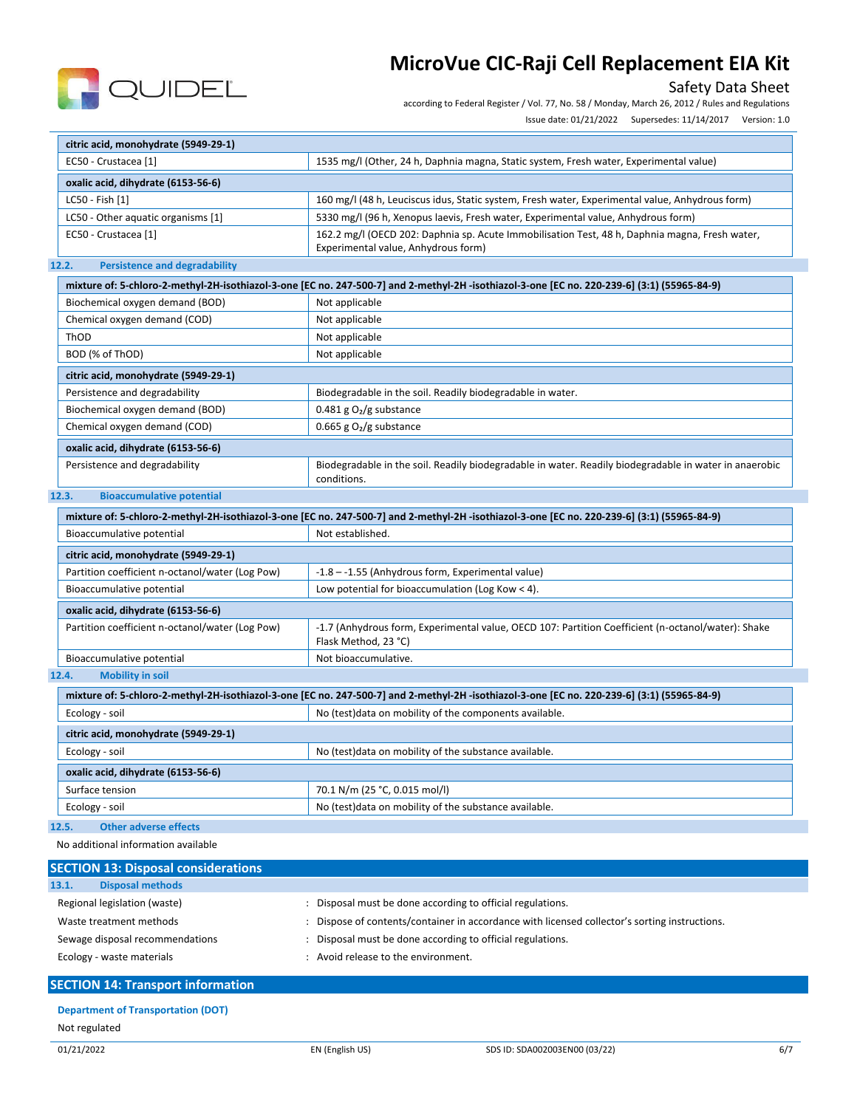

## Safety Data Sheet

according to Federal Register / Vol. 77, No. 58 / Monday, March 26, 2012 / Rules and Regulations

Issue date: 01/21/2022 Supersedes: 11/14/2017 Version: 1.0

| citric acid, monohydrate (5949-29-1)                                                    |                                                                                                                                              |
|-----------------------------------------------------------------------------------------|----------------------------------------------------------------------------------------------------------------------------------------------|
| EC50 - Crustacea [1]                                                                    | 1535 mg/l (Other, 24 h, Daphnia magna, Static system, Fresh water, Experimental value)                                                       |
| oxalic acid, dihydrate (6153-56-6)                                                      |                                                                                                                                              |
| LC50 - Fish [1]                                                                         | 160 mg/l (48 h, Leuciscus idus, Static system, Fresh water, Experimental value, Anhydrous form)                                              |
| LC50 - Other aquatic organisms [1]                                                      | 5330 mg/l (96 h, Xenopus laevis, Fresh water, Experimental value, Anhydrous form)                                                            |
| EC50 - Crustacea [1]                                                                    | 162.2 mg/l (OECD 202: Daphnia sp. Acute Immobilisation Test, 48 h, Daphnia magna, Fresh water,<br>Experimental value, Anhydrous form)        |
| <b>Persistence and degradability</b><br>12.2.                                           |                                                                                                                                              |
|                                                                                         | mixture of: 5-chloro-2-methyl-2H-isothiazol-3-one [EC no. 247-500-7] and 2-methyl-2H-isothiazol-3-one [EC no. 220-239-6] (3:1) (55965-84-9)  |
| Biochemical oxygen demand (BOD)                                                         | Not applicable                                                                                                                               |
| Chemical oxygen demand (COD)                                                            | Not applicable                                                                                                                               |
| ThOD                                                                                    | Not applicable                                                                                                                               |
| BOD (% of ThOD)                                                                         | Not applicable                                                                                                                               |
| citric acid, monohydrate (5949-29-1)                                                    |                                                                                                                                              |
| Persistence and degradability                                                           | Biodegradable in the soil. Readily biodegradable in water.                                                                                   |
| Biochemical oxygen demand (BOD)                                                         | 0.481 g $O2/g$ substance                                                                                                                     |
| Chemical oxygen demand (COD)                                                            | 0.665 g $O2/g$ substance                                                                                                                     |
|                                                                                         |                                                                                                                                              |
| oxalic acid, dihydrate (6153-56-6)                                                      |                                                                                                                                              |
| Persistence and degradability                                                           | Biodegradable in the soil. Readily biodegradable in water. Readily biodegradable in water in anaerobic<br>conditions.                        |
| <b>Bioaccumulative potential</b><br>12.3.                                               |                                                                                                                                              |
|                                                                                         | mixture of: 5-chloro-2-methyl-2H-isothiazol-3-one [EC no. 247-500-7] and 2-methyl-2H-isothiazol-3-one [EC no. 220-239-6] (3:1) (55965-84-9)  |
| Bioaccumulative potential                                                               | Not established.                                                                                                                             |
|                                                                                         |                                                                                                                                              |
| citric acid, monohydrate (5949-29-1)<br>Partition coefficient n-octanol/water (Log Pow) | -1.8 --1.55 (Anhydrous form, Experimental value)                                                                                             |
|                                                                                         |                                                                                                                                              |
| Bioaccumulative potential                                                               | Low potential for bioaccumulation (Log Kow $<$ 4).                                                                                           |
| oxalic acid, dihydrate (6153-56-6)                                                      |                                                                                                                                              |
| Partition coefficient n-octanol/water (Log Pow)                                         | -1.7 (Anhydrous form, Experimental value, OECD 107: Partition Coefficient (n-octanol/water): Shake<br>Flask Method, 23 °C)                   |
| Bioaccumulative potential                                                               | Not bioaccumulative.                                                                                                                         |
| 12.4.<br><b>Mobility in soil</b>                                                        |                                                                                                                                              |
|                                                                                         | mixture of: 5-chloro-2-methyl-2H-isothiazol-3-one [EC no. 247-500-7] and 2-methyl-2H -isothiazol-3-one [EC no. 220-239-6] (3:1) (55965-84-9) |
| Ecology - soil                                                                          | No (test)data on mobility of the components available.                                                                                       |
| citric acid, monohydrate (5949-29-1)                                                    |                                                                                                                                              |
| Ecology - soil                                                                          | No (test) data on mobility of the substance available.                                                                                       |
| oxalic acid, dihydrate (6153-56-6)                                                      |                                                                                                                                              |
| Surface tension                                                                         | 70.1 N/m (25 °C, 0.015 mol/l)                                                                                                                |
| Ecology - soil                                                                          | No (test)data on mobility of the substance available.                                                                                        |
| 12.5.<br><b>Other adverse effects</b>                                                   |                                                                                                                                              |
| No additional information available                                                     |                                                                                                                                              |
|                                                                                         |                                                                                                                                              |
| <b>SECTION 13: Disposal considerations</b>                                              |                                                                                                                                              |
| 13.1.<br><b>Disposal methods</b>                                                        |                                                                                                                                              |
| Regional legislation (waste)                                                            | : Disposal must be done according to official regulations.                                                                                   |

- Waste treatment methods **in the state of contents/container in accordance with licensed collector's sorting instructions.**
- Sewage disposal recommendations : Disposal must be done according to official regulations.
- Ecology waste materials **Ecology** waste materials **in the environment.**

## **SECTION 14: Transport information**

## **Department of Transportation (DOT)**

Not regulated